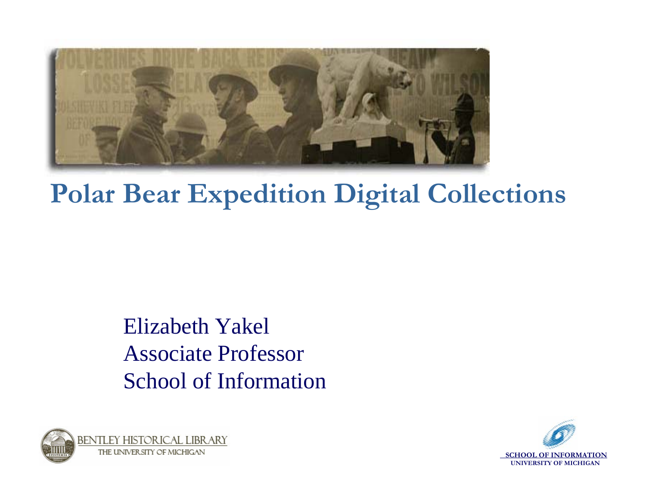

#### **Polar Bear Expedition Digital Collections**

#### Elizabeth YakelAssociate ProfessorSchool of Information



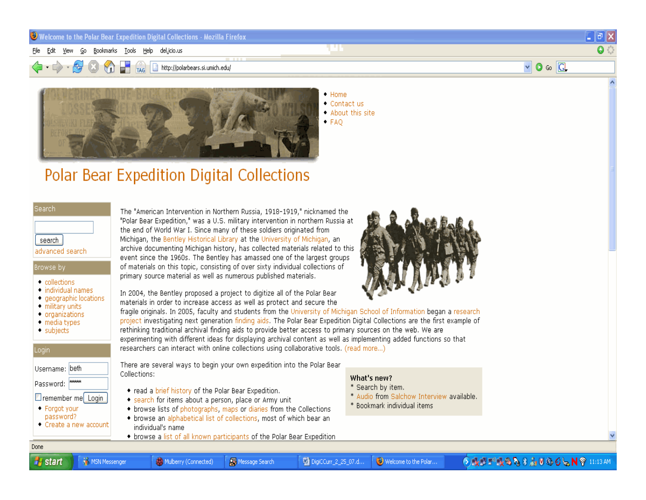#### $\bullet$  Welcome to the Polar Bear Expedition Digital Collections - Mozilla Firefox

File Edit View Go Bookmarks Tools Help del.icio.us

http://polarbears.si.umich.edu/



 $\bullet$  Home  $\bullet$  Contactus . About this site  $\bullet$  FAO

#### **Polar Bear Expedition Digital Collections**

#### **Search**

search

#### advanced search

#### Browse by

- collections
- $\bullet$  individual names • geographic locations
- military units
- organizations
- media types
- $\bullet$  subjects

#### Login

| Username: beth |  |
|----------------|--|
| Password: MANA |  |

- Tremember me Login • Forgot your
- password?

Done

**A** start

• Create a new account

MSN Messenger

The "American Intervention in Northern Russia, 1918-1919," nicknamed the "Polar Bear Expedition," was a U.S. military intervention in northern Russia at the end of World War I. Since many of these soldiers originated from Michigan, the Bentley Historical Library at the University of Michigan, an archive documenting Michigan history, has collected materials related to this event since the 1960s. The Bentley has amassed one of the largest groups of materials on this topic, consisting of over sixty individual collections of primary source material as well as numerous published materials.

In 2004, the Bentley proposed a project to digitize all of the Polar Bear materials in order to increase access as well as protect and secure the

![](_page_1_Picture_24.jpeg)

fragile originals. In 2005, faculty and students from the University of Michigan School of Information began a research project investigating next generation finding aids. The Polar Bear Expedition Digital Collections are the first example of rethinking traditional archival finding aids to provide better access to primary sources on the web. We are

experimenting with different ideas for displaying archival content as well as implementing added functions so that researchers can interact with online collections using collaborative tools. (read more...)

There are several ways to begin your own expedition into the Polar Bear Collections:

• read a brief history of the Polar Bear Expedition.

Mulberry (Connected)

- search for items about a person, place or Army unit
- browse lists of photographs, maps or diaries from the Collections
- browse an alphabetical list of collections, most of which bear an individual's name
- browse a list of all known participants of the Polar Bear Expedition

Message Search

#### What's new?

[9] DigiCCurr\_2\_25\_07.d...

- \* Search by item.
- \* Audio from Salchow Interview available.

Welcome to the Polar...

\* Bookmark individual items

**SCHOOL OF INFORMATION UNIVERSITY OF MICHIGAN**

 $\Box$   $\Box$   $\times$ 

 $\boxed{\vee}$   $\boxed{\odot}$  so  $\boxed{\text{GL}}$ 

 $\Omega$  :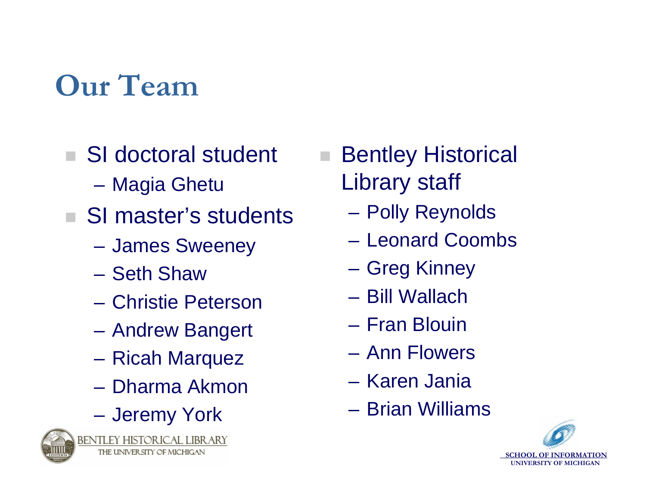# **Our Team**

- m. SI doctoral student
	- **Hart Committee** Magia Ghetu
- SI master's students
	- –James Sweeney
	- Seth Shaw
	- Christie Peterson
	- –Andrew Bangert
	- –Ricah Marquez
	- Dharma Akmon
	- –Jeremy York

![](_page_2_Picture_11.jpeg)

BENTLEY HISTORICAL LIBRARY THE UNIVERSITY OF MICHIGAN

 Bentley Historical Library staff

- –Polly Reynolds
- Leonard Coombs
- –Greg Kinney
- Bill Wallach
- Fran Blouin
- Ann Flowers
- Karen Jania
- Brian Williams

![](_page_2_Picture_22.jpeg)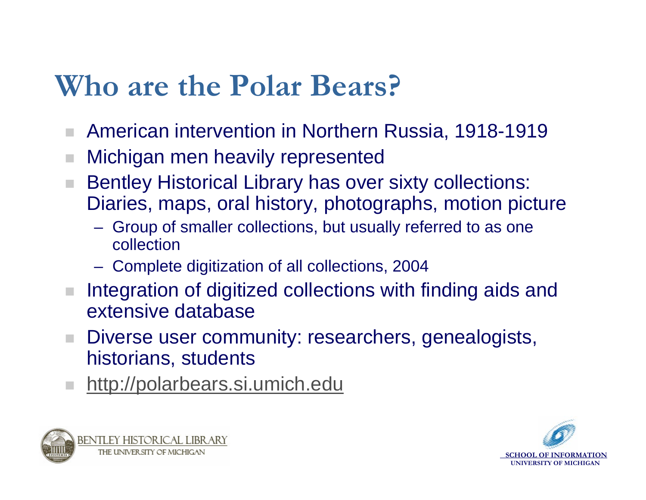## **Who are the Polar Bears?**

- ш American intervention in Northern Russia, 1918-1919
- Michigan men heavily represented
- Bentley Historical Library has over sixty collections: Diaries, maps, oral history, photographs, motion picture
	- Group of smaller collections, but usually referred to as one collection
	- **Hart Committee** Complete digitization of all collections, 2004
- **College**  Integration of digitized collections with finding aids and extensive database
- $\mathcal{L}_{\mathcal{A}}$  Diverse user community: researchers, genealogists, historians, students
- [http://polarbears.si.umich.edu](http://polarbears.si.umich.edu/)

![](_page_3_Picture_9.jpeg)

![](_page_3_Picture_10.jpeg)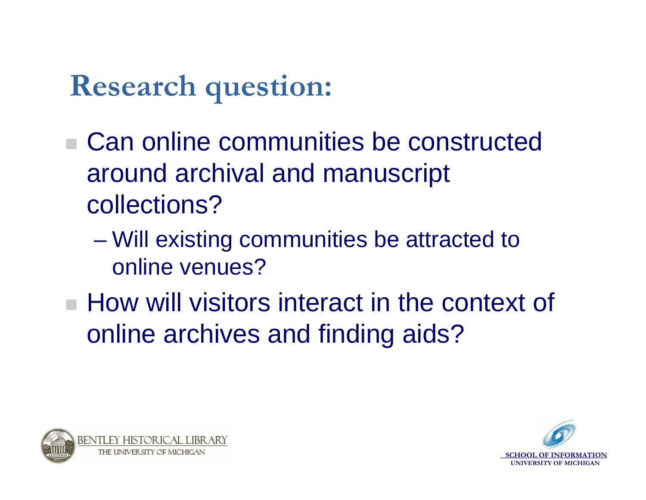# **Research question:**

- Can online communities be constructed around archival and manuscript collections?
	- **However, Marketing**  Will existing communities be attracted to online venues?
- **How will visitors interact in the context of** online archives and finding aids?

![](_page_4_Picture_4.jpeg)

![](_page_4_Picture_5.jpeg)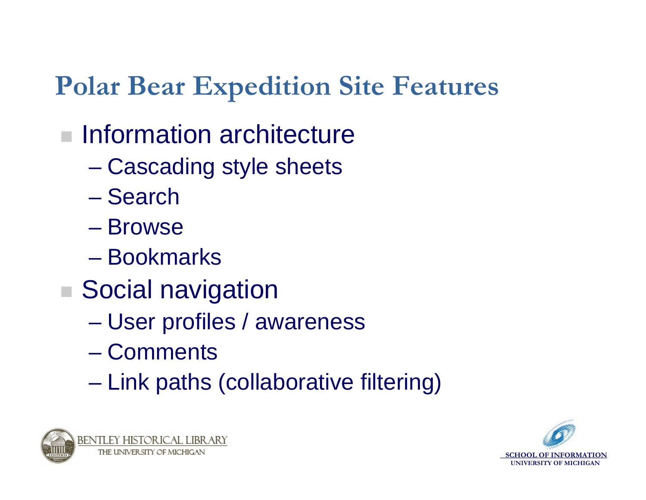### **Polar Bear Expedition Site Features**

### **Information architecture**

- $\mathcal{L}_{\mathcal{A}}$  , and the set of the set of the set of the set of the set of the set of the set of the set of the set of the set of the set of the set of the set of the set of the set of the set of the set of the set of th Cascading style sheets
- Search
- Browse
- Bookmarks
- Social navigation
	- $\mathcal{L}_{\mathcal{A}}$  , and the set of the set of the set of the set of the set of the set of the set of the set of the set of the set of the set of the set of the set of the set of the set of the set of the set of the set of th User profiles / awareness
	- Comments
	- $\mathcal{L}_{\mathcal{A}}$  , and the set of the set of the set of the set of the set of the set of the set of the set of the set of the set of the set of the set of the set of the set of the set of the set of the set of the set of th Link paths (collaborative filtering)

![](_page_5_Picture_10.jpeg)

![](_page_5_Picture_11.jpeg)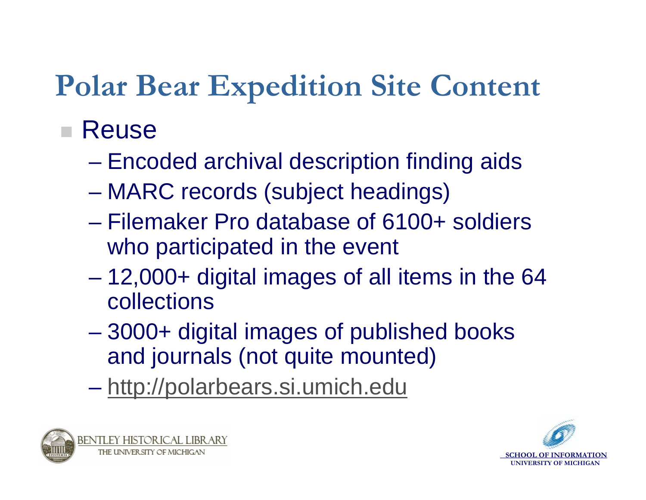# **Polar Bear Expedition Site Content**

### ■ Reuse

- $\mathcal{L}_{\mathcal{A}}$  , and the set of the set of the set of the set of the set of the set of the set of the set of the set of the set of the set of the set of the set of the set of the set of the set of the set of the set of th Encoded archival description finding aids
- $\mathcal{L}_{\mathcal{A}}$ MARC records (subject headings)
- Filemaker Pro database of 6100+ soldiers who participated in the event
- $\mathcal{L}_{\mathcal{A}}$  12,000+ digital images of all items in the 64 collections
- $\mathcal{L}_{\mathcal{A}}$  , and the set of the set of the set of the set of the set of the set of the set of the set of the set of the set of the set of the set of the set of the set of the set of the set of the set of the set of th 3000+ digital images of published books and journals (not quite mounted)
- $\mathcal{L}_{\mathcal{A}}$  , and the set of the set of the set of the set of the set of the set of the set of the set of the set of the set of the set of the set of the set of the set of the set of the set of the set of the set of th – <u>[http://polarbears.si.umich.edu](http://polarbears.si.umich.edu/)</u>

![](_page_6_Picture_8.jpeg)

![](_page_6_Picture_9.jpeg)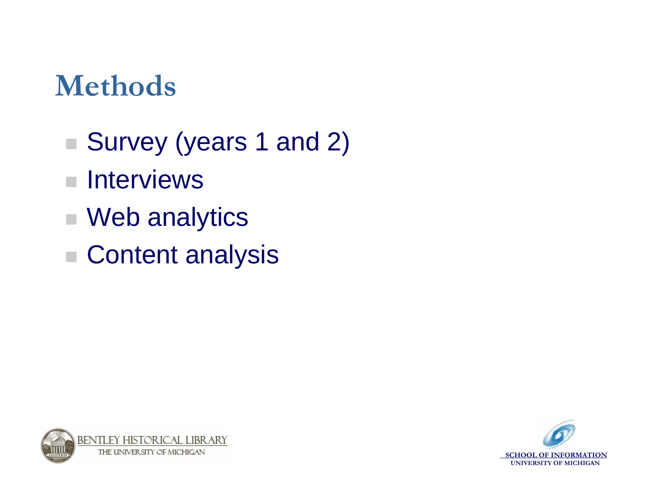## **Methods**

- Survey (years 1 and 2)
- $\mathcal{L}_{\mathcal{A}}$ **Interviews**
- Web analytics
- Content analysis

![](_page_7_Picture_5.jpeg)

![](_page_7_Picture_6.jpeg)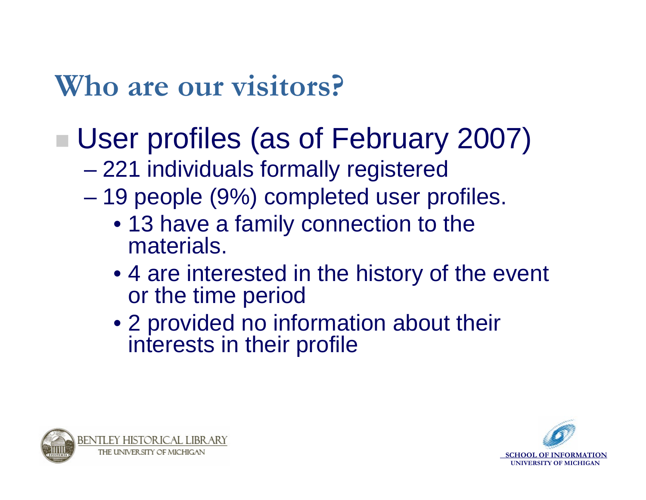## **Who are our visitors?**

# ■ User profiles (as of February 2007)

- $\mathcal{L}_{\mathcal{A}}$  , and the set of the set of the set of the set of the set of the set of the set of the set of the set of the set of the set of the set of the set of the set of the set of the set of the set of the set of th 221 individuals formally registered
- $\mathcal{L}_{\mathcal{A}}$  19 people (9%) completed user profiles.
	- 13 have a family connection to the materials.
	- 4 are interested in the history of the event or the time period
	- 2 provided no information about their interests in their profile

![](_page_8_Picture_7.jpeg)

![](_page_8_Picture_8.jpeg)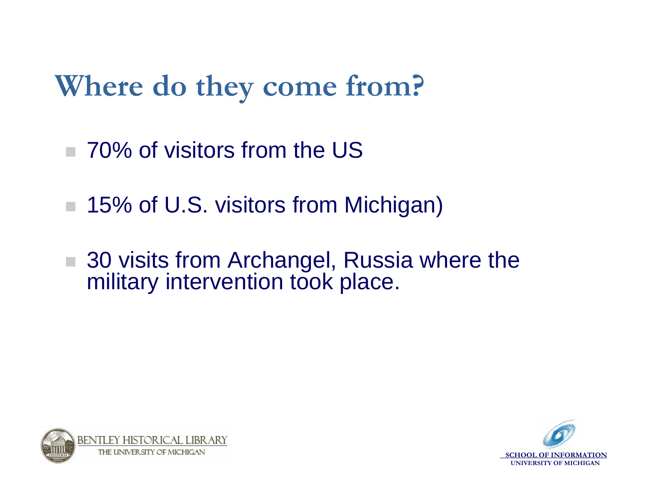# **Where do they come from?**

- m. 70% of visitors from the US
- **COL** 15% of U.S. visitors from Michigan)
- $\mathcal{L}_{\mathcal{A}}$  30 visits from Archangel, Russia where the military intervention took place.

![](_page_9_Picture_4.jpeg)

![](_page_9_Picture_5.jpeg)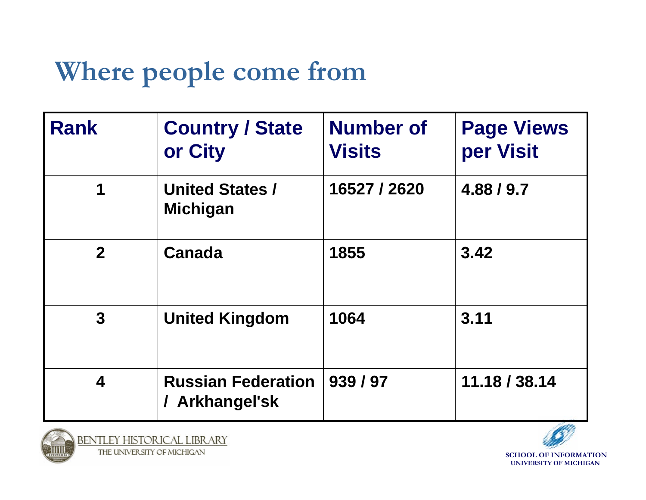### **Where people come from**

| <b>Rank</b>    | <b>Country / State</b><br>or City         | <b>Number of</b><br><b>Visits</b> | <b>Page Views</b><br>per Visit |
|----------------|-------------------------------------------|-----------------------------------|--------------------------------|
| 1              | <b>United States /</b><br><b>Michigan</b> | 16527 / 2620                      | 4.88 / 9.7                     |
| 2 <sup>1</sup> | Canada                                    | 1855                              | 3.42                           |
| 3 <sup>1</sup> | <b>United Kingdom</b>                     | 1064                              | 3.11                           |
| 4              | <b>Russian Federation</b><br>Arkhangel'sk | 939 / 97                          | 11.18 / 38.14                  |

![](_page_10_Picture_2.jpeg)

![](_page_10_Picture_4.jpeg)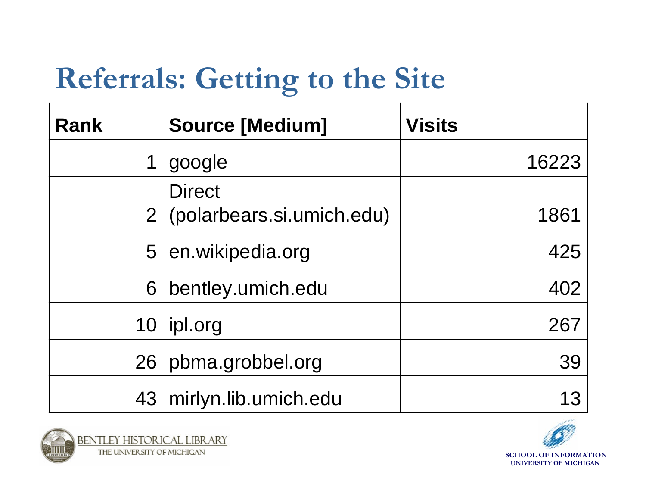# **Referrals: Getting to the Site**

| <b>Rank</b>     | <b>Source [Medium]</b>    | <b>Visits</b> |
|-----------------|---------------------------|---------------|
| 1               | google                    | 16223         |
|                 | <b>Direct</b>             |               |
| 2 <sup>1</sup>  | (polarbears.si.umich.edu) | 1861          |
| 5               | en.wikipedia.org          | 425           |
| 6               | bentley.umich.edu         | 402           |
| 10              | ipl.org                   | 267           |
| 26 <sub>1</sub> | pbma.grobbel.org          | 39            |
|                 | 43   mirlyn.lib.umich.edu |               |

![](_page_11_Picture_2.jpeg)

![](_page_11_Picture_4.jpeg)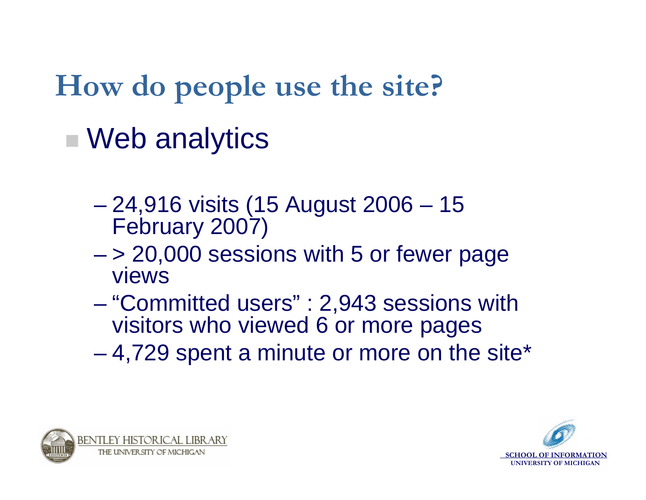**How do people use the site?**

# ■ Web analytics

- **However the Community**  24,916 visits (15 August 2006 – 15 February 2007)
- **Hart Committee**  > 20,000 sessions with 5 or fewer page views
- **However the Community**  "Committed users" : 2,943 sessions with visitors who viewed 6 or more pages
- **Line Community** 4,729 spent a minute or more on the site\*

![](_page_12_Picture_6.jpeg)

![](_page_12_Picture_7.jpeg)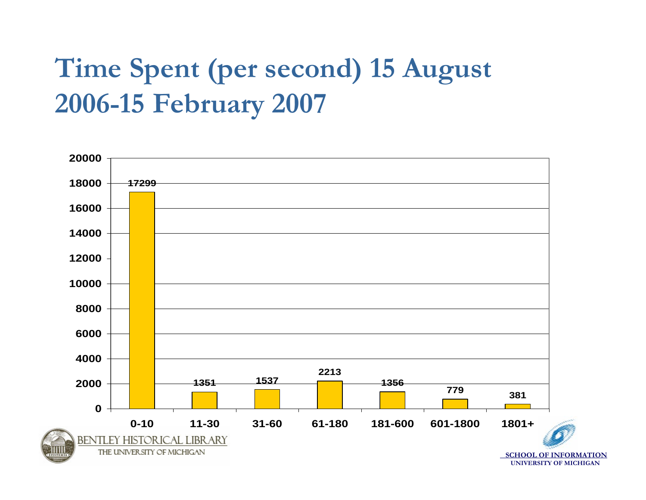### **Time Spent (per second) 15 August 2006-15 February 2007**

![](_page_13_Figure_1.jpeg)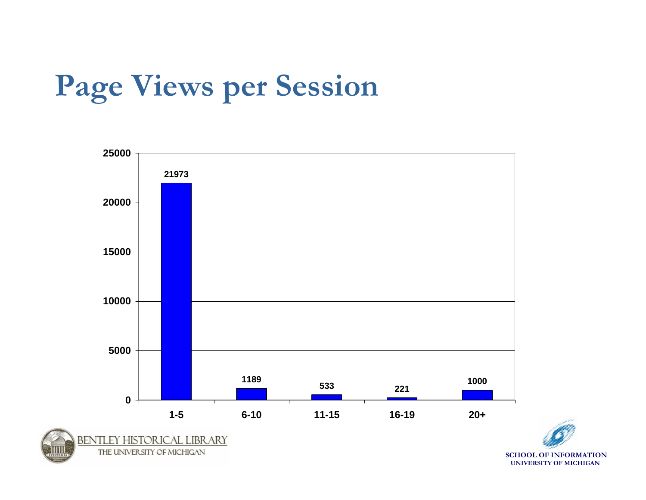# **Page Views per Session**

![](_page_14_Figure_1.jpeg)

![](_page_14_Picture_2.jpeg)

**SCHOOL OF INFORMATION UNIVERSITY OF MICHIGAN**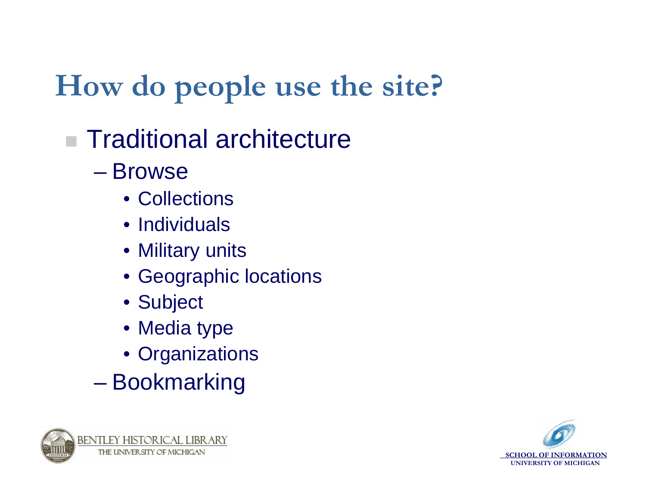# **How do people use the site?**

## ■ Traditional architecture

– Browse

- Collections
- Individuals
- Military units
- Geographic locations
- Subject
- Media type
- Organizations
- **However the Community** Bookmarking

![](_page_15_Picture_11.jpeg)

![](_page_15_Picture_12.jpeg)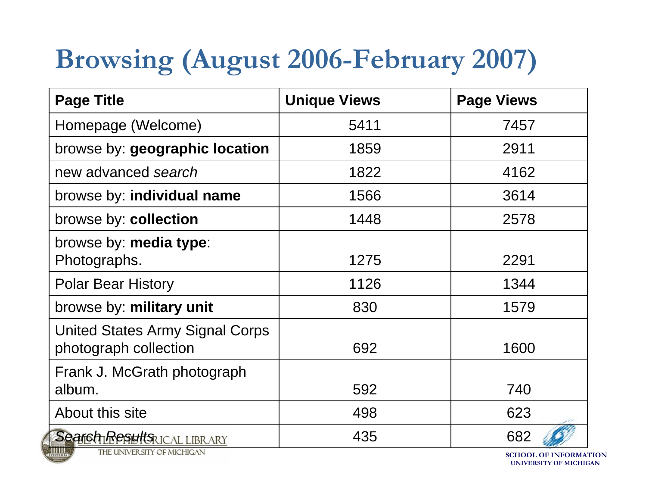## **Browsing (August 2006-February 2007)**

| <b>Page Title</b>                                        | <b>Unique Views</b> | <b>Page Views</b> |
|----------------------------------------------------------|---------------------|-------------------|
| Homepage (Welcome)                                       | 5411                | 7457              |
| browse by: geographic location                           | 1859                | 2911              |
| new advanced search                                      | 1822                | 4162              |
| browse by: individual name                               | 1566                | 3614              |
| browse by: collection                                    | 1448                | 2578              |
| browse by: media type:<br>Photographs.                   | 1275                | 2291              |
| <b>Polar Bear History</b>                                | 1126                | 1344              |
| browse by: military unit                                 | 830                 | 1579              |
| United States Army Signal Corps<br>photograph collection | 692                 | 1600              |
| Frank J. McGrath photograph<br>album.                    | 592                 | 740               |
| About this site                                          | 498                 | 623               |
| Search Results ICAL LIBRARY                              | 435                 | 682               |

THE UNIVERSITY OF MICHIGAN

**SCHOOL OF INFORMATION UNIVERSITY OF MICHIGAN**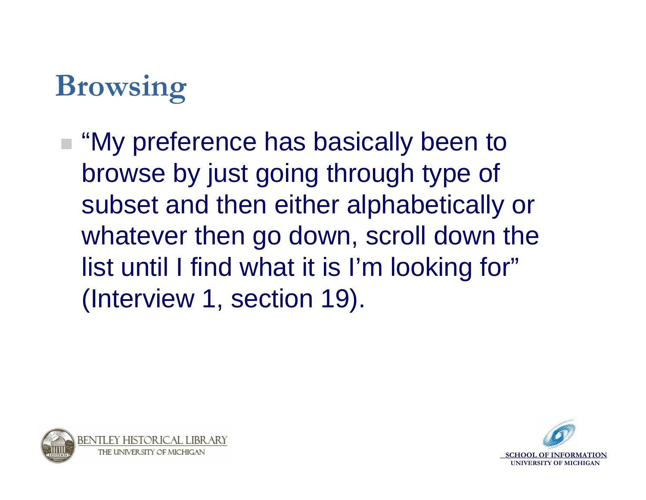# **Browsing**

■ "My preference has basically been to browse by just going through type of subset and then either alphabetically or whatever then go down, scroll down the list until I find what it is I'm looking for" (Interview 1, section 19).

![](_page_17_Picture_2.jpeg)

![](_page_17_Picture_3.jpeg)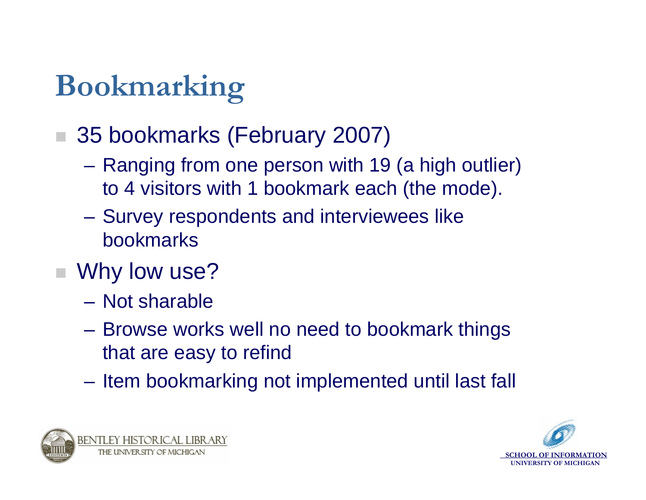# **Bookmarking**

- 35 bookmarks (February 2007)
	- **Hart Committee**  Ranging from one person with 19 (a high outlier) to 4 visitors with 1 bookmark each (the mode).
	- – Survey respondents and interviewees like bookmarks
- Why low use?
	- Not sharable
	- **Hart Committee**  Browse works well no need to bookmark things that are easy to refind
	- –Item bookmarking not implemented until last fall

![](_page_18_Picture_8.jpeg)

![](_page_18_Picture_9.jpeg)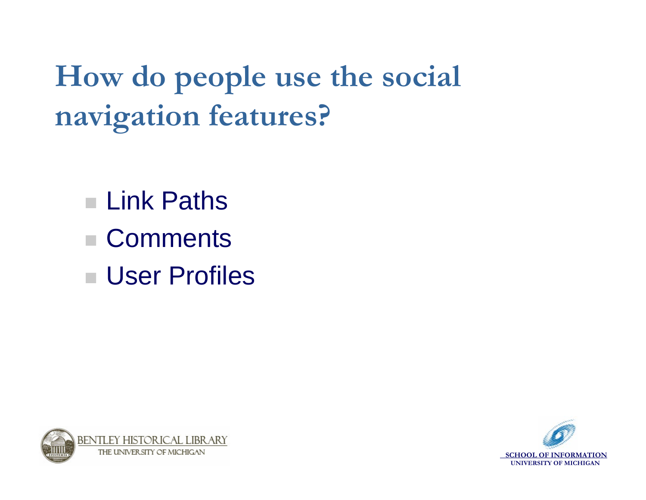**How do people use the social navigation features?**

- Link Paths
- Comments
- User Profiles

![](_page_19_Picture_4.jpeg)

![](_page_19_Picture_5.jpeg)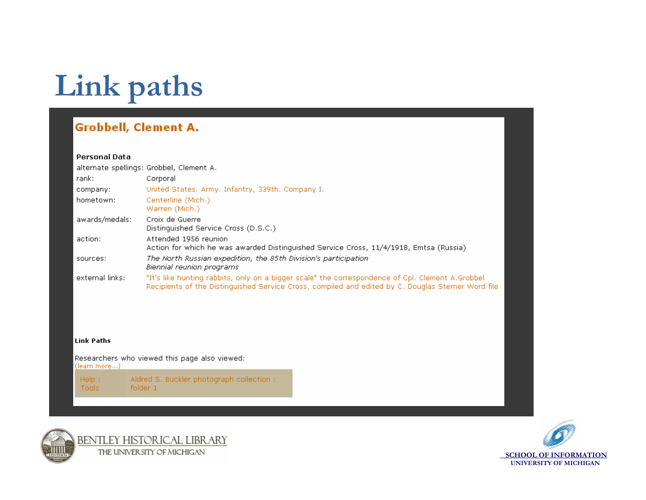# **Link paths**

#### **Grobbell, Clement A.**

#### **Personal Data**

|                 | alternate spellings: Grobbel, Clement A.                                                                                                                                                               |
|-----------------|--------------------------------------------------------------------------------------------------------------------------------------------------------------------------------------------------------|
| rank:           | Corporal                                                                                                                                                                                               |
| company:        | United States, Army, Infantry, 339th, Company I.                                                                                                                                                       |
| hometown:       | Centerline (Mich.)<br>Warren (Mich.)                                                                                                                                                                   |
| awards/medals:  | Croix de Guerre<br>Distinguished Service Cross (D.S.C.)                                                                                                                                                |
| action:         | Attended 1956 reunion<br>Action for which he was awarded Distinguished Service Cross, 11/4/1918, Emtsa (Russia)                                                                                        |
| sources:        | The North Russian expedition, the 85th Division's participation<br>Biennial reunion programs                                                                                                           |
| external links: | "It's like hunting rabbits, only on a bigger scale" the correspondence of Cpl. Clement A.Grobbel<br>Recipients of the Distinguished Service Cross, compiled and edited by C. Douglas Sterner Word file |

#### Link Paths

Researchers who viewed this page also viewed: (learn more...) Aldred S. Buckler photograph collection : Help: folder 1 Tools

![](_page_20_Picture_6.jpeg)

![](_page_20_Picture_7.jpeg)

![](_page_20_Picture_8.jpeg)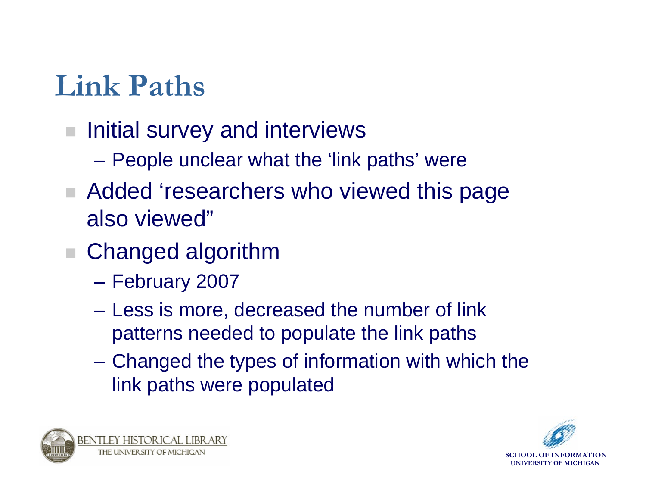# **Link Paths**

- $\mathcal{L}_{\mathcal{A}}$  Initial survey and interviews
	- **Hart Committee** People unclear what the 'link paths' were
- Added 'researchers who viewed this page also viewed"
- Changed algorithm
	- **Hart Committee** February 2007
	- **Hart Committee**  Less is more, decreased the number of link patterns needed to populate the link paths
	- – Changed the types of information with which the link paths were populated

![](_page_21_Picture_8.jpeg)

![](_page_21_Picture_9.jpeg)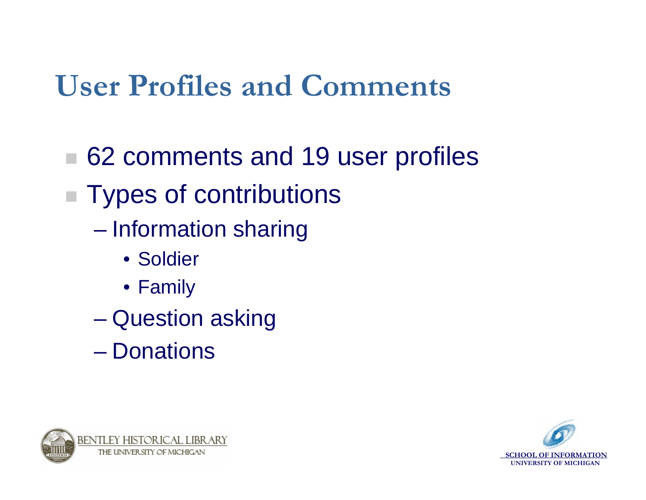# **User Profiles and Comments**

- 62 comments and 19 user profiles
- Types of contributions
	- **However the Community**  Information sharing
		- Soldier
		- Family
	- **However the Community** Question asking
	- Donations

![](_page_22_Picture_8.jpeg)

![](_page_22_Picture_9.jpeg)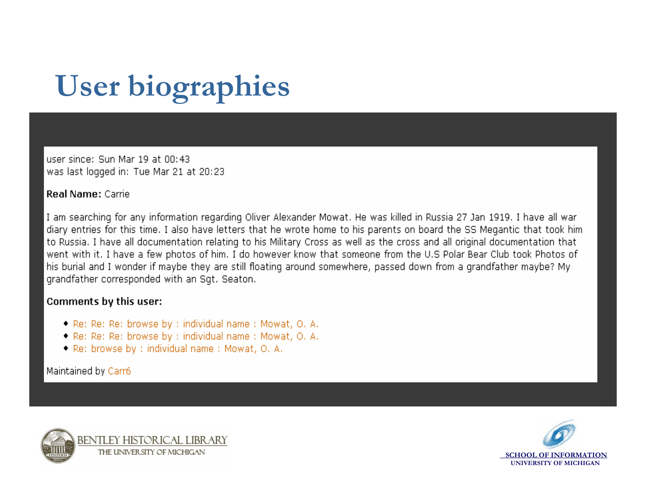# **User biographies**

user since: Sun Mar 19 at 00:43 was last logged in: Tue Mar 21 at 20:23

#### **Real Name: Carrie**

I am searching for any information regarding Oliver Alexander Mowat. He was killed in Russia 27 Jan 1919. I have all war diary entries for this time. I also have letters that he wrote home to his parents on board the SS Megantic that took him to Russia. I have all documentation relating to his Military Cross as well as the cross and all original documentation that went with it. I have a few photos of him. I do however know that someone from the U.S Polar Bear Club took Photos of his burial and I wonder if maybe they are still floating around somewhere, passed down from a grandfather maybe? My grandfather corresponded with an Sqt. Seaton.

#### Comments by this user:

- Re: Re: Re: browse by : individual name : Mowat, O. A.
- Re: Re: Re: browse by : individual name : Mowat, O. A.
- Re: browse by : individual name : Mowat, O. A.

Maintained by Carr6

![](_page_23_Picture_9.jpeg)

![](_page_23_Picture_10.jpeg)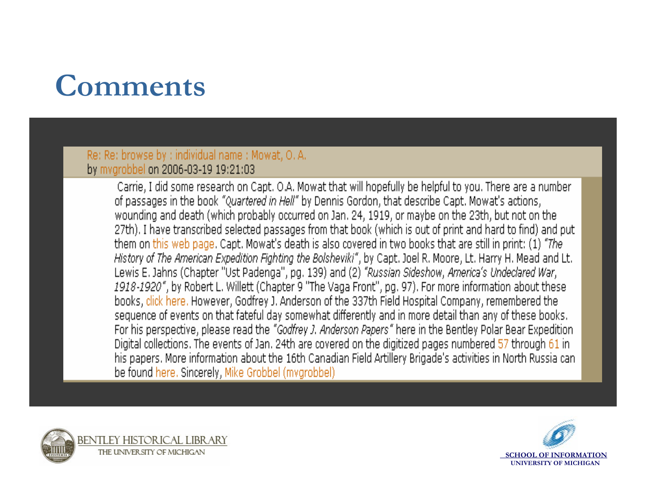# **Comments**

#### Re: Re: browse by : individual name : Mowat, O.A. by mvgrobbel on 2006-03-19 19:21:03

Carrie, I did some research on Capt, O.A. Mowat that will hopefully be helpful to you. There are a number of passages in the book "Quartered in Hell" by Dennis Gordon, that describe Capt. Mowat's actions, wounding and death (which probably occurred on Jan. 24, 1919, or maybe on the 23th, but not on the 27th). I have transcribed selected passages from that book (which is out of print and hard to find) and put them on this web page. Capt. Mowat's death is also covered in two books that are still in print: (1) "The History of The American Expedition Fighting the Bolsheviki", by Capt. Joel R. Moore, Lt. Harry H. Mead and Lt. Lewis E. Jahns (Chapter "Ust Padenga", pg. 139) and (2) "Russian Sideshow, America's Undeclared War, 1918-1920", by Robert L. Willett (Chapter 9 "The Vaga Front", pg. 97). For more information about these books, click here. However, Godfrey J. Anderson of the 337th Field Hospital Company, remembered the sequence of events on that fateful day somewhat differently and in more detail than any of these books. For his perspective, please read the "Godfrey J. Anderson Papers" here in the Bentley Polar Bear Expedition Digital collections. The events of Jan. 24th are covered on the digitized pages numbered 57 through 61 in his papers. More information about the 16th Canadian Field Artillery Brigade's activities in North Russia can be found here. Sincerely, Mike Grobbel (mygrobbel)

![](_page_24_Picture_3.jpeg)

![](_page_24_Picture_4.jpeg)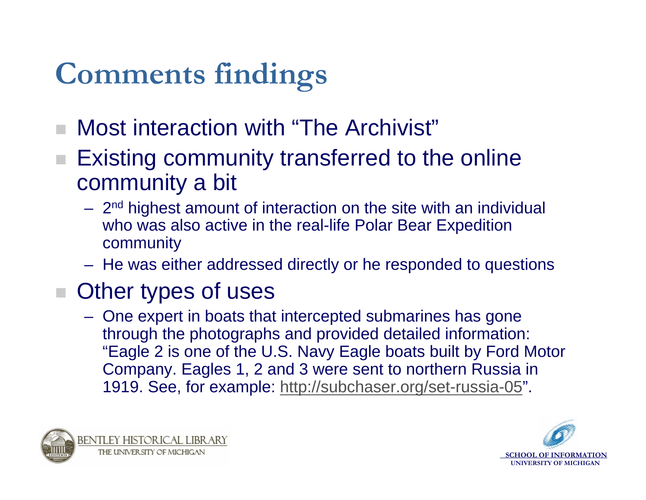# **Comments findings**

- Most interaction with "The Archivist"
- Existing community transferred to the online community a bit
	- 2<sup>nd</sup> highest amount of interaction on the site with an individual who was also active in the real-life Polar Bear Expedition community
	- He was either addressed directly or he responded to questions

#### Other types of uses

 One expert in boats that intercepted submarines has gone through the photographs and provided detailed information: "Eagle 2 is one of the U.S. Navy Eagle boats built by Ford Motor Company. Eagles 1, 2 and 3 were sent to northern Russia in 1919. See, for example:<http://subchaser.org/set-russia-05>".

![](_page_25_Picture_7.jpeg)

![](_page_25_Picture_8.jpeg)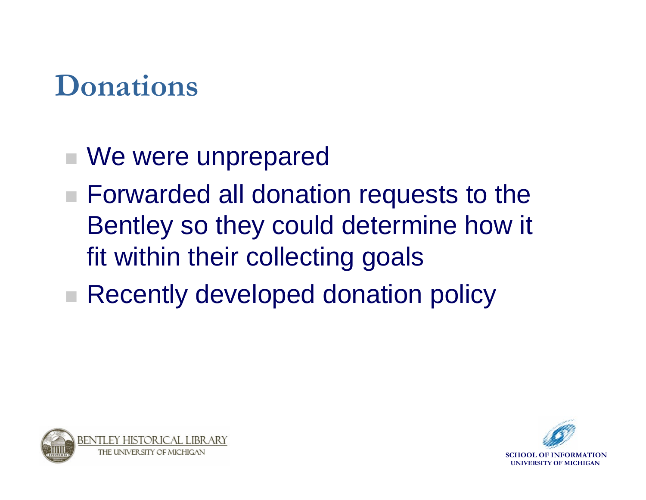# **Donations**

- We were unprepared
- Forwarded all donation requests to the Bentley so they could determine how it fit within their collecting goals
- Recently developed donation policy

![](_page_26_Picture_4.jpeg)

![](_page_26_Picture_5.jpeg)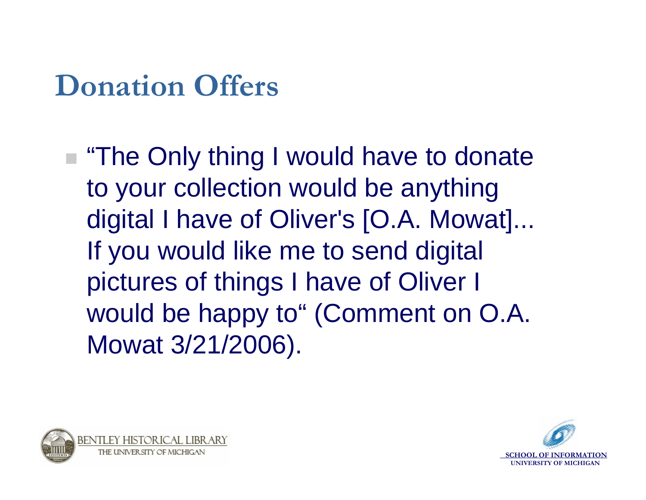## **Donation Offers**

■ "The Only thing I would have to donate to your collection would be anything digital I have of Oliver's [O.A. Mowat]... If you would like me to send digital pictures of things I have of Oliver I would be happy to" (Comment on O.A. Mowat 3/21/2006).

![](_page_27_Picture_2.jpeg)

![](_page_27_Picture_3.jpeg)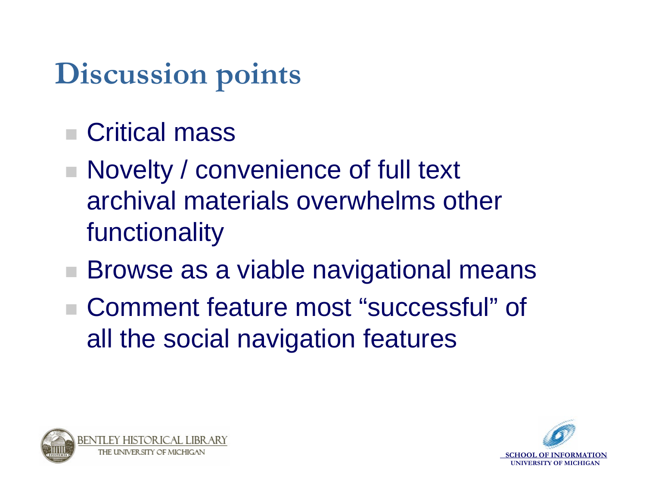# **Discussion points**

- Critical mass
- Novelty / convenience of full text archival materials overwhelms other functionality
- Browse as a viable navigational means
- Comment feature most "successful" of all the social navigation features

![](_page_28_Picture_5.jpeg)

![](_page_28_Picture_6.jpeg)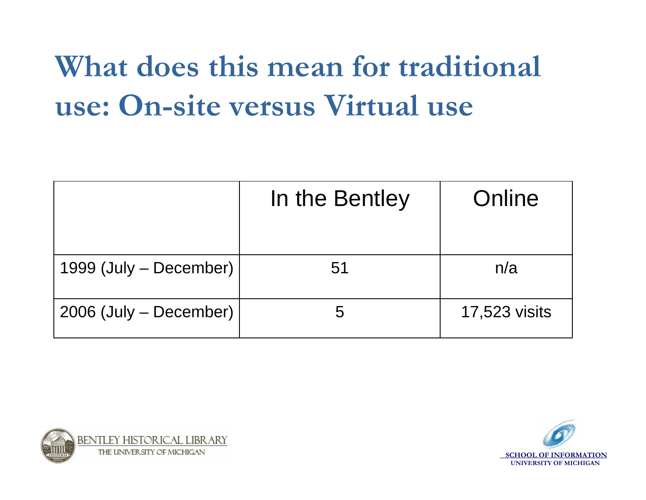# **What does this mean for traditional use: On-site versus Virtual use**

|                        | In the Bentley | Online               |
|------------------------|----------------|----------------------|
| 1999 (July – December) | 51             | n/a                  |
| 2006 (July – December) | 5              | <b>17,523 visits</b> |

![](_page_29_Picture_2.jpeg)

![](_page_29_Picture_3.jpeg)